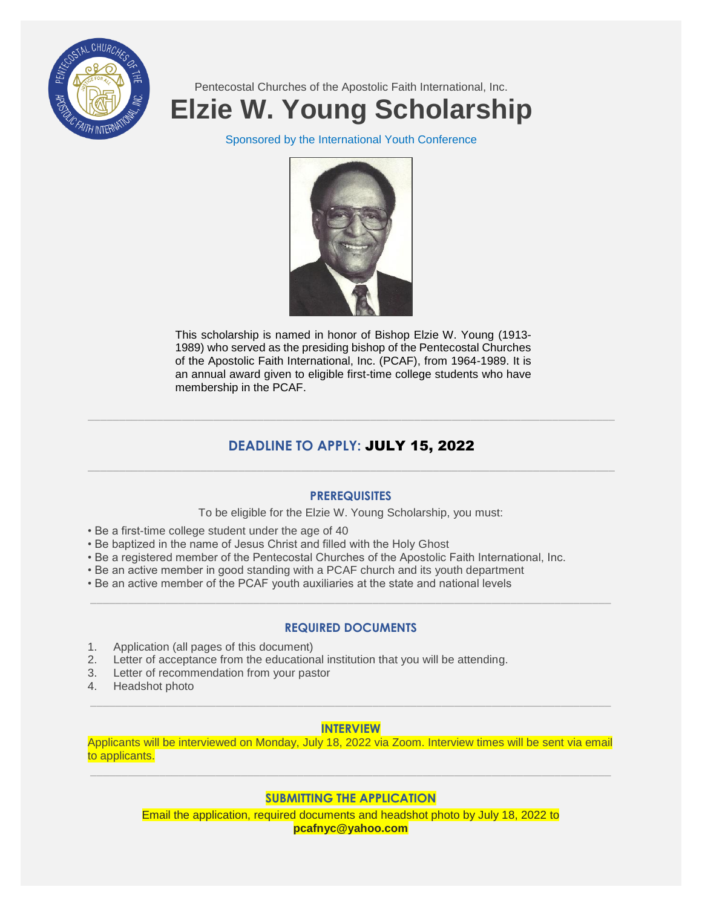

Pentecostal Churches of the Apostolic Faith International, Inc.

# **Elzie W. Young Scholarship**

Sponsored by the International Youth Conference



This scholarship is named in honor of Bishop Elzie W. Young (1913- 1989) who served as the presiding bishop of the Pentecostal Churches of the Apostolic Faith International, Inc. (PCAF), from 1964-1989. It is an annual award given to eligible first-time college students who have membership in the PCAF.

# **DEADLINE TO APPLY:** JULY 15, 2022 \_\_\_\_\_\_\_\_\_\_\_\_\_\_\_\_\_\_\_\_\_\_\_\_\_\_\_\_\_\_\_\_\_\_\_\_\_\_\_\_\_\_\_\_\_\_\_\_\_\_\_\_\_\_\_\_\_\_\_\_\_\_\_\_\_\_\_\_\_\_\_\_\_\_\_\_\_\_\_\_\_\_\_\_

 $\_$  ,  $\_$  ,  $\_$  ,  $\_$  ,  $\_$  ,  $\_$  ,  $\_$  ,  $\_$  ,  $\_$  ,  $\_$  ,  $\_$  ,  $\_$  ,  $\_$  ,  $\_$  ,  $\_$  ,  $\_$  ,  $\_$  ,  $\_$  ,  $\_$  ,  $\_$  ,  $\_$  ,  $\_$  ,  $\_$  ,  $\_$  ,  $\_$  ,  $\_$  ,  $\_$  ,  $\_$  ,  $\_$  ,  $\_$  ,  $\_$  ,  $\_$  ,  $\_$  ,  $\_$  ,  $\_$  ,  $\_$  ,  $\_$  ,

## **PREREQUISITES**

To be eligible for the Elzie W. Young Scholarship, you must:

- Be a first-time college student under the age of 40
- Be baptized in the name of Jesus Christ and filled with the Holy Ghost
- Be a registered member of the Pentecostal Churches of the Apostolic Faith International, Inc.
- Be an active member in good standing with a PCAF church and its youth department
- Be an active member of the PCAF youth auxiliaries at the state and national levels

## **REQUIRED DOCUMENTS**

\_\_\_\_\_\_\_\_\_\_\_\_\_\_\_\_\_\_\_\_\_\_\_\_\_\_\_\_\_\_\_\_\_\_\_\_\_\_\_\_\_\_\_\_\_\_\_\_\_\_\_\_\_\_\_\_\_\_\_\_\_\_\_\_\_\_\_\_\_\_\_\_\_\_\_\_\_\_\_\_\_\_\_

- 1. Application (all pages of this document)
- 2. Letter of acceptance from the educational institution that you will be attending.
- 3. Letter of recommendation from your pastor
- 4. Headshot photo

## **INTERVIEW**

\_\_\_\_\_\_\_\_\_\_\_\_\_\_\_\_\_\_\_\_\_\_\_\_\_\_\_\_\_\_\_\_\_\_\_\_\_\_\_\_\_\_\_\_\_\_\_\_\_\_\_\_\_\_\_\_\_\_\_\_\_\_\_\_\_\_\_\_\_\_\_\_\_\_\_\_\_\_\_\_\_\_\_

Applicants will be interviewed on Monday, July 18, 2022 via Zoom. Interview times will be sent via email to applicants. \_\_\_\_\_\_\_\_\_\_\_\_\_\_\_\_\_\_\_\_\_\_\_\_\_\_\_\_\_\_\_\_\_\_\_\_\_\_\_\_\_\_\_\_\_\_\_\_\_\_\_\_\_\_\_\_\_\_\_\_\_\_\_\_\_\_\_\_\_\_\_\_\_\_\_\_\_\_\_\_\_\_\_

## **SUBMITTING THE APPLICATION**

Email the application, required documents and headshot photo by July 18, 2022 to **[pcafnyc@yahoo.com](mailto:pcafnyc@yahoo.com)**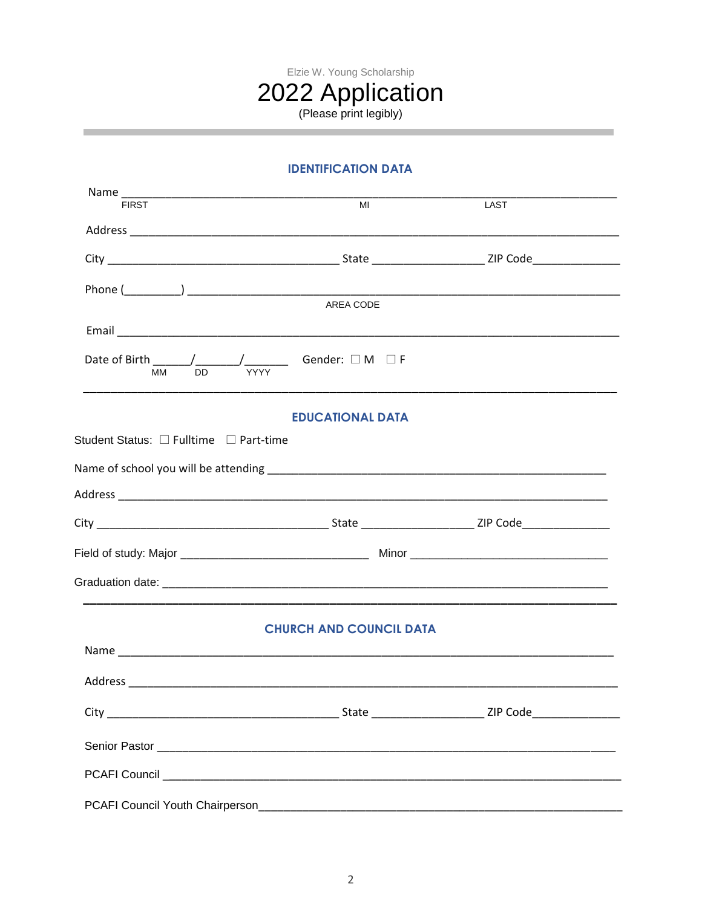

## **IDENTIFICATION DATA**

| Name_<br><b>FIRST</b>                  | MI                                 | LAST |  |
|----------------------------------------|------------------------------------|------|--|
|                                        |                                    |      |  |
|                                        |                                    |      |  |
|                                        |                                    |      |  |
|                                        |                                    |      |  |
|                                        | AREA CODE                          |      |  |
|                                        |                                    |      |  |
| DD<br>MМ                               | /_________ Gender: □ M □ F<br>YYYY |      |  |
|                                        | <b>EDUCATIONAL DATA</b>            |      |  |
| Student Status: □ Fulltime □ Part-time |                                    |      |  |
|                                        |                                    |      |  |
|                                        |                                    |      |  |
|                                        |                                    |      |  |
|                                        |                                    |      |  |
|                                        |                                    |      |  |
|                                        | <b>CHURCH AND COUNCIL DATA</b>     |      |  |
|                                        |                                    |      |  |
|                                        |                                    |      |  |
|                                        |                                    |      |  |
|                                        |                                    |      |  |
|                                        |                                    |      |  |
|                                        |                                    |      |  |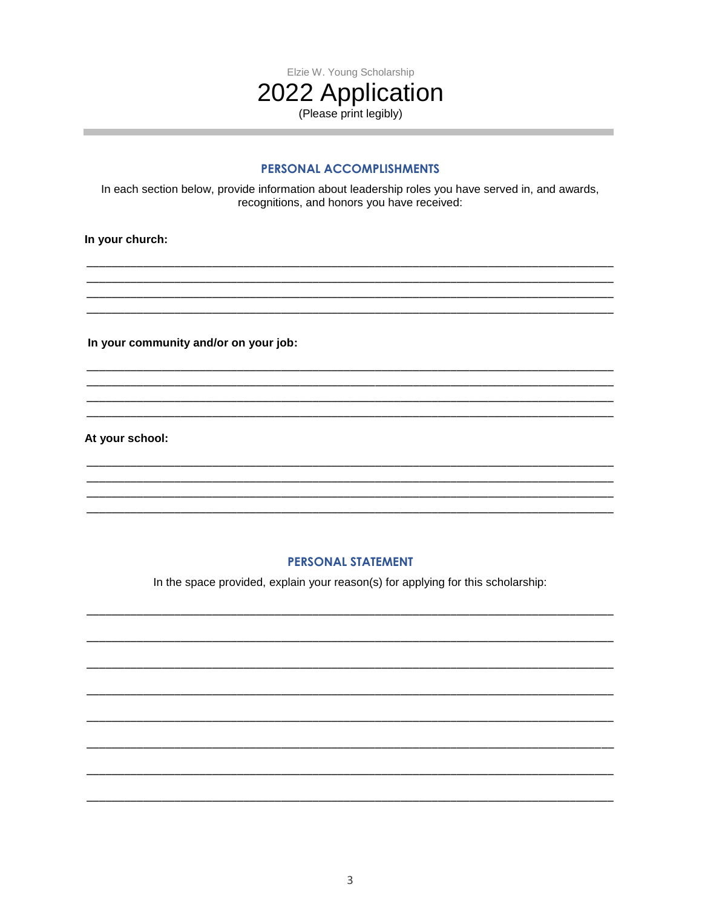

and the control of the control of the control of

#### PERSONAL ACCOMPLISHMENTS

In each section below, provide information about leadership roles you have served in, and awards, recognitions, and honors you have received:

In your church:

In your community and/or on your job:

At your school:

#### **PERSONAL STATEMENT**

In the space provided, explain your reason(s) for applying for this scholarship: